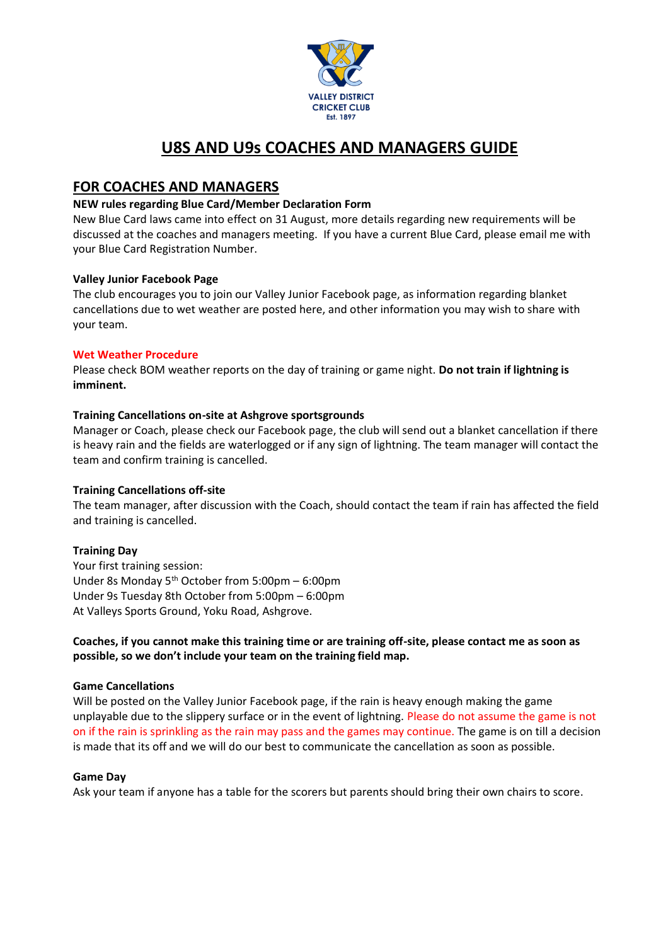

# **U8S AND U9s COACHES AND MANAGERS GUIDE**

# **FOR COACHES AND MANAGERS**

### **NEW rules regarding Blue Card/Member Declaration Form**

New Blue Card laws came into effect on 31 August, more details regarding new requirements will be discussed at the coaches and managers meeting. If you have a current Blue Card, please email me with your Blue Card Registration Number.

### **Valley Junior Facebook Page**

The club encourages you to join our Valley Junior Facebook page, as information regarding blanket cancellations due to wet weather are posted here, and other information you may wish to share with your team.

### **Wet Weather Procedure**

Please check BOM weather reports on the day of training or game night. **Do not train if lightning is imminent.** 

### **Training Cancellations on-site at Ashgrove sportsgrounds**

Manager or Coach, please check our Facebook page, the club will send out a blanket cancellation if there is heavy rain and the fields are waterlogged or if any sign of lightning. The team manager will contact the team and confirm training is cancelled.

# **Training Cancellations off-site**

The team manager, after discussion with the Coach, should contact the team if rain has affected the field and training is cancelled.

# **Training Day**

Your first training session: Under 8s Monday 5th October from 5:00pm – 6:00pm Under 9s Tuesday 8th October from 5:00pm – 6:00pm At Valleys Sports Ground, Yoku Road, Ashgrove.

### **Coaches, if you cannot make this training time or are training off-site, please contact me as soon as possible, so we don't include your team on the training field map.**

### **Game Cancellations**

Will be posted on the Valley Junior Facebook page, if the rain is heavy enough making the game unplayable due to the slippery surface or in the event of lightning. Please do not assume the game is not on if the rain is sprinkling as the rain may pass and the games may continue. The game is on till a decision is made that its off and we will do our best to communicate the cancellation as soon as possible.

### **Game Day**

Ask your team if anyone has a table for the scorers but parents should bring their own chairs to score.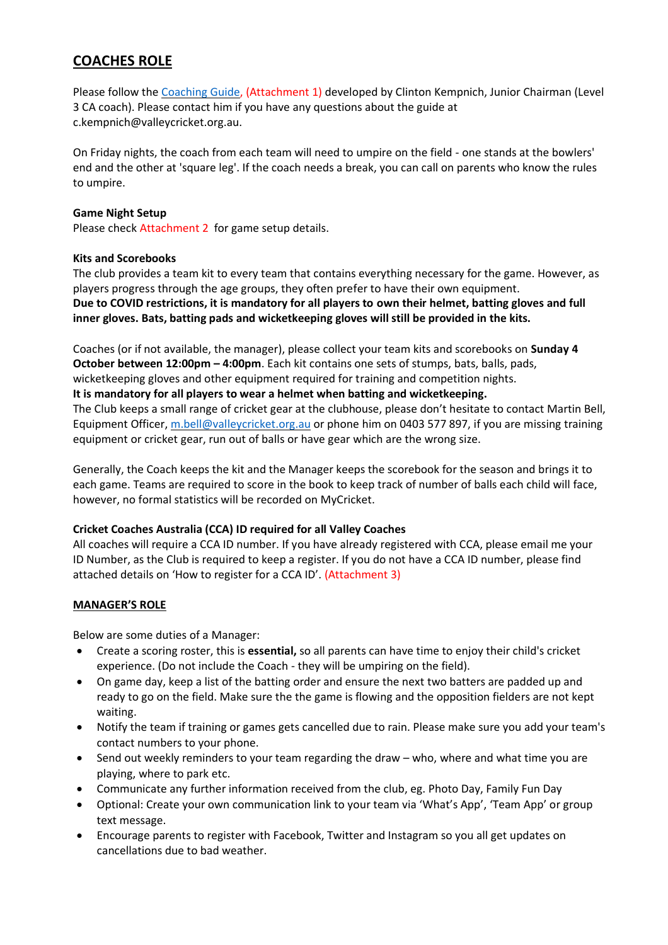# **COACHES ROLE**

Please follow the [Coaching Guide,](http://valleydcc.qld.cricket.com.au/files/13720/files/Juniors/2019%20season/master_8910_coaching_plans%202019.pdf) (Attachment 1) developed by Clinton Kempnich, Junior Chairman (Level 3 CA coach). Please contact him if you have any questions about the guide at c.kempnich@valleycricket.org.au.

On Friday nights, the coach from each team will need to umpire on the field - one stands at the bowlers' end and the other at 'square leg'. If the coach needs a break, you can call on parents who know the rules to umpire.

## **Game Night Setup**

Please check Attachment 2 for game setup details.

### **Kits and Scorebooks**

The club provides a team kit to every team that contains everything necessary for the game. However, as players progress through the age groups, they often prefer to have their own equipment. **Due to COVID restrictions, it is mandatory for all players to own their helmet, batting gloves and full inner gloves. Bats, batting pads and wicketkeeping gloves will still be provided in the kits.**

Coaches (or if not available, the manager), please collect your team kits and scorebooks on **Sunday 4 October between 12:00pm – 4:00pm**. Each kit contains one sets of stumps, bats, balls, pads, wicketkeeping gloves and other equipment required for training and competition nights.

### **It is mandatory for all players to wear a helmet when batting and wicketkeeping.**

The Club keeps a small range of cricket gear at the clubhouse, please don't hesitate to contact Martin Bell, Equipment Officer, [m.bell@valleycricket.org.au](mailto:m.bell@valleycricket.org.au) or phone him on 0403 577 897, if you are missing training equipment or cricket gear, run out of balls or have gear which are the wrong size.

Generally, the Coach keeps the kit and the Manager keeps the scorebook for the season and brings it to each game. Teams are required to score in the book to keep track of number of balls each child will face, however, no formal statistics will be recorded on MyCricket.

# **Cricket Coaches Australia (CCA) ID required for all Valley Coaches**

All coaches will require a CCA ID number. If you have already registered with CCA, please email me your ID Number, as the Club is required to keep a register. If you do not have a CCA ID number, please find attached details on 'How to register for a CCA ID'. (Attachment 3)

# **MANAGER'S ROLE**

Below are some duties of a Manager:

- Create a scoring roster, this is **essential,** so all parents can have time to enjoy their child's cricket experience. (Do not include the Coach - they will be umpiring on the field).
- On game day, keep a list of the batting order and ensure the next two batters are padded up and ready to go on the field. Make sure the the game is flowing and the opposition fielders are not kept waiting.
- Notify the team if training or games gets cancelled due to rain. Please make sure you add your team's contact numbers to your phone.
- Send out weekly reminders to your team regarding the draw who, where and what time you are playing, where to park etc.
- Communicate any further information received from the club, eg. Photo Day, Family Fun Day
- Optional: Create your own communication link to your team via 'What's App', 'Team App' or group text message.
- Encourage parents to register with Facebook, Twitter and Instagram so you all get updates on cancellations due to bad weather.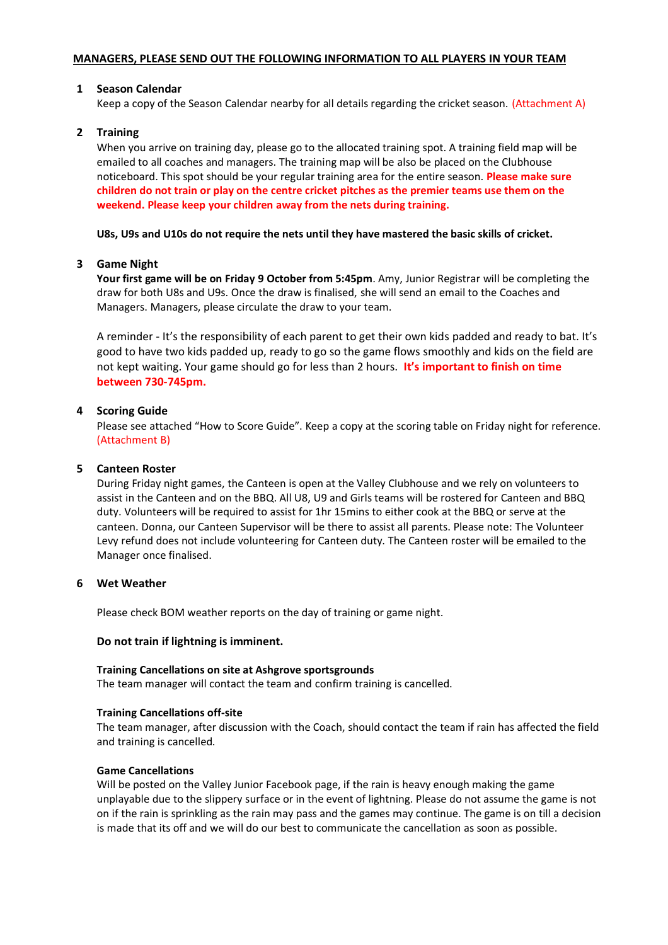#### **MANAGERS, PLEASE SEND OUT THE FOLLOWING INFORMATION TO ALL PLAYERS IN YOUR TEAM**

### **1 Season Calendar**

Keep a copy of the Season Calendar nearby for all details regarding the cricket season. (Attachment A)

### **2 Training**

When you arrive on training day, please go to the allocated training spot. A training field map will be emailed to all coaches and managers. The training map will be also be placed on the Clubhouse noticeboard. This spot should be your regular training area for the entire season. **Please make sure children do not train or play on the centre cricket pitches as the premier teams use them on the weekend. Please keep your children away from the nets during training.** 

### **U8s, U9s and U10s do not require the nets until they have mastered the basic skills of cricket.**

### **3 Game Night**

**Your first game will be on Friday 9 October from 5:45pm**. Amy, Junior Registrar will be completing the draw for both U8s and U9s. Once the draw is finalised, she will send an email to the Coaches and Managers. Managers, please circulate the draw to your team.

A reminder - It's the responsibility of each parent to get their own kids padded and ready to bat. It's good to have two kids padded up, ready to go so the game flows smoothly and kids on the field are not kept waiting. Your game should go for less than 2 hours. **It's important to finish on time between 730-745pm.**

### **4 Scoring Guide**

Please see attached "How to Score Guide". Keep a copy at the scoring table on Friday night for reference. (Attachment B)

#### **5 Canteen Roster**

During Friday night games, the Canteen is open at the Valley Clubhouse and we rely on volunteers to assist in the Canteen and on the BBQ. All U8, U9 and Girls teams will be rostered for Canteen and BBQ duty. Volunteers will be required to assist for 1hr 15mins to either cook at the BBQ or serve at the canteen. Donna, our Canteen Supervisor will be there to assist all parents. Please note: The Volunteer Levy refund does not include volunteering for Canteen duty. The Canteen roster will be emailed to the Manager once finalised.

#### **6 Wet Weather**

Please check BOM weather reports on the day of training or game night.

#### **Do not train if lightning is imminent.**

#### **Training Cancellations on site at Ashgrove sportsgrounds**

The team manager will contact the team and confirm training is cancelled.

#### **Training Cancellations off-site**

The team manager, after discussion with the Coach, should contact the team if rain has affected the field and training is cancelled.

#### **Game Cancellations**

Will be posted on the Valley Junior Facebook page, if the rain is heavy enough making the game unplayable due to the slippery surface or in the event of lightning. Please do not assume the game is not on if the rain is sprinkling as the rain may pass and the games may continue. The game is on till a decision is made that its off and we will do our best to communicate the cancellation as soon as possible.